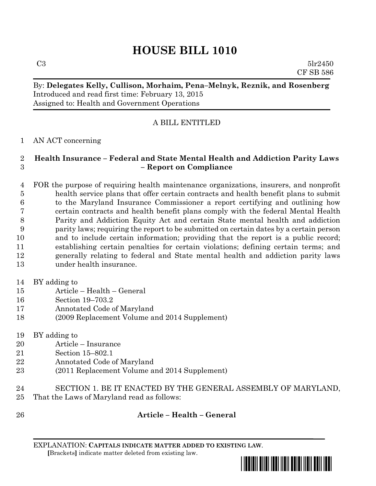# **HOUSE BILL 1010**

 $C3 \t\t 5lr2450$ CF SB 586

# By: **Delegates Kelly, Cullison, Morhaim, Pena–Melnyk, Reznik, and Rosenberg** Introduced and read first time: February 13, 2015 Assigned to: Health and Government Operations

# A BILL ENTITLED

### AN ACT concerning

### **Health Insurance – Federal and State Mental Health and Addiction Parity Laws – Report on Compliance**

 FOR the purpose of requiring health maintenance organizations, insurers, and nonprofit health service plans that offer certain contracts and health benefit plans to submit to the Maryland Insurance Commissioner a report certifying and outlining how certain contracts and health benefit plans comply with the federal Mental Health Parity and Addiction Equity Act and certain State mental health and addiction parity laws; requiring the report to be submitted on certain dates by a certain person and to include certain information; providing that the report is a public record; establishing certain penalties for certain violations; defining certain terms; and generally relating to federal and State mental health and addiction parity laws under health insurance.

#### BY adding to

- Article Health General
- Section 19–703.2
- Annotated Code of Maryland
- (2009 Replacement Volume and 2014 Supplement)
- BY adding to
- Article Insurance
- Section 15–802.1
- Annotated Code of Maryland
- (2011 Replacement Volume and 2014 Supplement)
- SECTION 1. BE IT ENACTED BY THE GENERAL ASSEMBLY OF MARYLAND,
- That the Laws of Maryland read as follows:
- 

# **Article – Health – General**

EXPLANATION: **CAPITALS INDICATE MATTER ADDED TO EXISTING LAW**.  **[**Brackets**]** indicate matter deleted from existing law.

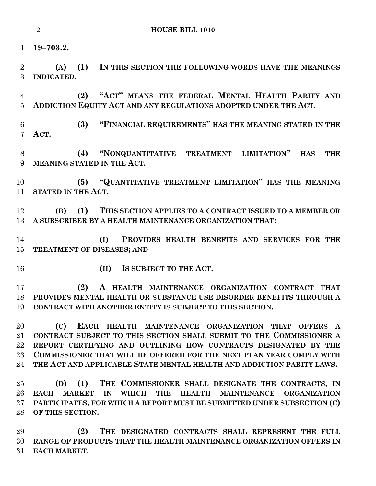**HOUSE BILL 1010**

**19–703.2.**

 **(A) (1) IN THIS SECTION THE FOLLOWING WORDS HAVE THE MEANINGS INDICATED.**

 **(2) "ACT" MEANS THE FEDERAL MENTAL HEALTH PARITY AND ADDICTION EQUITY ACT AND ANY REGULATIONS ADOPTED UNDER THE ACT.**

 **(3) "FINANCIAL REQUIREMENTS" HAS THE MEANING STATED IN THE ACT.**

 **(4) "NONQUANTITATIVE TREATMENT LIMITATION" HAS THE MEANING STATED IN THE ACT.**

 **(5) "QUANTITATIVE TREATMENT LIMITATION" HAS THE MEANING STATED IN THE ACT.**

 **(B) (1) THIS SECTION APPLIES TO A CONTRACT ISSUED TO A MEMBER OR A SUBSCRIBER BY A HEALTH MAINTENANCE ORGANIZATION THAT:**

 **(I) PROVIDES HEALTH BENEFITS AND SERVICES FOR THE TREATMENT OF DISEASES; AND**

- 
- **(II) IS SUBJECT TO THE ACT.**

 **(2) A HEALTH MAINTENANCE ORGANIZATION CONTRACT THAT PROVIDES MENTAL HEALTH OR SUBSTANCE USE DISORDER BENEFITS THROUGH A CONTRACT WITH ANOTHER ENTITY IS SUBJECT TO THIS SECTION.**

 **(C) EACH HEALTH MAINTENANCE ORGANIZATION THAT OFFERS A CONTRACT SUBJECT TO THIS SECTION SHALL SUBMIT TO THE COMMISSIONER A REPORT CERTIFYING AND OUTLINING HOW CONTRACTS DESIGNATED BY THE COMMISSIONER THAT WILL BE OFFERED FOR THE NEXT PLAN YEAR COMPLY WITH THE ACT AND APPLICABLE STATE MENTAL HEALTH AND ADDICTION PARITY LAWS.**

 **(D) (1) THE COMMISSIONER SHALL DESIGNATE THE CONTRACTS, IN EACH MARKET IN WHICH THE HEALTH MAINTENANCE ORGANIZATION PARTICIPATES, FOR WHICH A REPORT MUST BE SUBMITTED UNDER SUBSECTION (C) OF THIS SECTION.**

 **(2) THE DESIGNATED CONTRACTS SHALL REPRESENT THE FULL RANGE OF PRODUCTS THAT THE HEALTH MAINTENANCE ORGANIZATION OFFERS IN EACH MARKET.**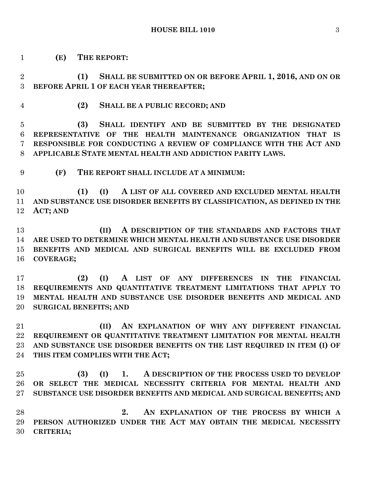**(E) THE REPORT:**

 **(1) SHALL BE SUBMITTED ON OR BEFORE APRIL 1, 2016, AND ON OR BEFORE APRIL 1 OF EACH YEAR THEREAFTER;**

**(2) SHALL BE A PUBLIC RECORD; AND**

 **(3) SHALL IDENTIFY AND BE SUBMITTED BY THE DESIGNATED REPRESENTATIVE OF THE HEALTH MAINTENANCE ORGANIZATION THAT IS RESPONSIBLE FOR CONDUCTING A REVIEW OF COMPLIANCE WITH THE ACT AND APPLICABLE STATE MENTAL HEALTH AND ADDICTION PARITY LAWS.**

**(F) THE REPORT SHALL INCLUDE AT A MINIMUM:**

 **(1) (I) A LIST OF ALL COVERED AND EXCLUDED MENTAL HEALTH AND SUBSTANCE USE DISORDER BENEFITS BY CLASSIFICATION, AS DEFINED IN THE ACT; AND**

 **(II) A DESCRIPTION OF THE STANDARDS AND FACTORS THAT ARE USED TO DETERMINE WHICH MENTAL HEALTH AND SUBSTANCE USE DISORDER BENEFITS AND MEDICAL AND SURGICAL BENEFITS WILL BE EXCLUDED FROM COVERAGE;**

 **(2) (I) A LIST OF ANY DIFFERENCES IN THE FINANCIAL REQUIREMENTS AND QUANTITATIVE TREATMENT LIMITATIONS THAT APPLY TO MENTAL HEALTH AND SUBSTANCE USE DISORDER BENEFITS AND MEDICAL AND SURGICAL BENEFITS; AND**

 **(II) AN EXPLANATION OF WHY ANY DIFFERENT FINANCIAL REQUIREMENT OR QUANTITATIVE TREATMENT LIMITATION FOR MENTAL HEALTH AND SUBSTANCE USE DISORDER BENEFITS ON THE LIST REQUIRED IN ITEM (I) OF THIS ITEM COMPLIES WITH THE ACT;**

 **(3) (I) 1. A DESCRIPTION OF THE PROCESS USED TO DEVELOP OR SELECT THE MEDICAL NECESSITY CRITERIA FOR MENTAL HEALTH AND SUBSTANCE USE DISORDER BENEFITS AND MEDICAL AND SURGICAL BENEFITS; AND**

 **2. AN EXPLANATION OF THE PROCESS BY WHICH A PERSON AUTHORIZED UNDER THE ACT MAY OBTAIN THE MEDICAL NECESSITY CRITERIA;**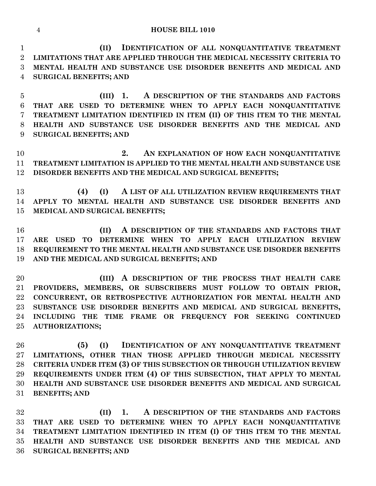#### **HOUSE BILL 1010**

 **(II) IDENTIFICATION OF ALL NONQUANTITATIVE TREATMENT LIMITATIONS THAT ARE APPLIED THROUGH THE MEDICAL NECESSITY CRITERIA TO MENTAL HEALTH AND SUBSTANCE USE DISORDER BENEFITS AND MEDICAL AND SURGICAL BENEFITS; AND**

 **(III) 1. A DESCRIPTION OF THE STANDARDS AND FACTORS THAT ARE USED TO DETERMINE WHEN TO APPLY EACH NONQUANTITATIVE TREATMENT LIMITATION IDENTIFIED IN ITEM (II) OF THIS ITEM TO THE MENTAL HEALTH AND SUBSTANCE USE DISORDER BENEFITS AND THE MEDICAL AND SURGICAL BENEFITS; AND**

 **2. AN EXPLANATION OF HOW EACH NONQUANTITATIVE TREATMENT LIMITATION IS APPLIED TO THE MENTAL HEALTH AND SUBSTANCE USE DISORDER BENEFITS AND THE MEDICAL AND SURGICAL BENEFITS;**

 **(4) (I) A LIST OF ALL UTILIZATION REVIEW REQUIREMENTS THAT APPLY TO MENTAL HEALTH AND SUBSTANCE USE DISORDER BENEFITS AND MEDICAL AND SURGICAL BENEFITS;**

 **(II) A DESCRIPTION OF THE STANDARDS AND FACTORS THAT ARE USED TO DETERMINE WHEN TO APPLY EACH UTILIZATION REVIEW REQUIREMENT TO THE MENTAL HEALTH AND SUBSTANCE USE DISORDER BENEFITS AND THE MEDICAL AND SURGICAL BENEFITS; AND**

 **(III) A DESCRIPTION OF THE PROCESS THAT HEALTH CARE PROVIDERS, MEMBERS, OR SUBSCRIBERS MUST FOLLOW TO OBTAIN PRIOR, CONCURRENT, OR RETROSPECTIVE AUTHORIZATION FOR MENTAL HEALTH AND SUBSTANCE USE DISORDER BENEFITS AND MEDICAL AND SURGICAL BENEFITS, INCLUDING THE TIME FRAME OR FREQUENCY FOR SEEKING CONTINUED AUTHORIZATIONS;**

 **(5) (I) IDENTIFICATION OF ANY NONQUANTITATIVE TREATMENT LIMITATIONS, OTHER THAN THOSE APPLIED THROUGH MEDICAL NECESSITY CRITERIA UNDER ITEM (3) OF THIS SUBSECTION OR THROUGH UTILIZATION REVIEW REQUIREMENTS UNDER ITEM (4) OF THIS SUBSECTION, THAT APPLY TO MENTAL HEALTH AND SUBSTANCE USE DISORDER BENEFITS AND MEDICAL AND SURGICAL BENEFITS; AND**

 **(II) 1. A DESCRIPTION OF THE STANDARDS AND FACTORS THAT ARE USED TO DETERMINE WHEN TO APPLY EACH NONQUANTITATIVE TREATMENT LIMITATION IDENTIFIED IN ITEM (I) OF THIS ITEM TO THE MENTAL HEALTH AND SUBSTANCE USE DISORDER BENEFITS AND THE MEDICAL AND SURGICAL BENEFITS; AND**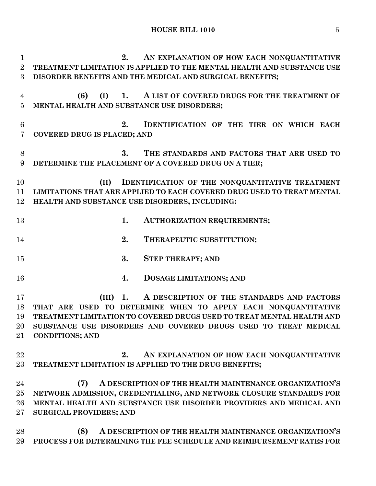**2. AN EXPLANATION OF HOW EACH NONQUANTITATIVE TREATMENT LIMITATION IS APPLIED TO THE MENTAL HEALTH AND SUBSTANCE USE DISORDER BENEFITS AND THE MEDICAL AND SURGICAL BENEFITS; (6) (I) 1. A LIST OF COVERED DRUGS FOR THE TREATMENT OF MENTAL HEALTH AND SUBSTANCE USE DISORDERS; 2. IDENTIFICATION OF THE TIER ON WHICH EACH COVERED DRUG IS PLACED; AND 3. THE STANDARDS AND FACTORS THAT ARE USED TO DETERMINE THE PLACEMENT OF A COVERED DRUG ON A TIER; (II) IDENTIFICATION OF THE NONQUANTITATIVE TREATMENT LIMITATIONS THAT ARE APPLIED TO EACH COVERED DRUG USED TO TREAT MENTAL HEALTH AND SUBSTANCE USE DISORDERS, INCLUDING: 1. AUTHORIZATION REQUIREMENTS; 2. THERAPEUTIC SUBSTITUTION; 3. STEP THERAPY; AND 4. DOSAGE LIMITATIONS; AND (III) 1. A DESCRIPTION OF THE STANDARDS AND FACTORS THAT ARE USED TO DETERMINE WHEN TO APPLY EACH NONQUANTITATIVE TREATMENT LIMITATION TO COVERED DRUGS USED TO TREAT MENTAL HEALTH AND SUBSTANCE USE DISORDERS AND COVERED DRUGS USED TO TREAT MEDICAL CONDITIONS; AND 2. AN EXPLANATION OF HOW EACH NONQUANTITATIVE TREATMENT LIMITATION IS APPLIED TO THE DRUG BENEFITS; (7) A DESCRIPTION OF THE HEALTH MAINTENANCE ORGANIZATION'S NETWORK ADMISSION, CREDENTIALING, AND NETWORK CLOSURE STANDARDS FOR MENTAL HEALTH AND SUBSTANCE USE DISORDER PROVIDERS AND MEDICAL AND SURGICAL PROVIDERS; AND (8) A DESCRIPTION OF THE HEALTH MAINTENANCE ORGANIZATION'S PROCESS FOR DETERMINING THE FEE SCHEDULE AND REIMBURSEMENT RATES FOR**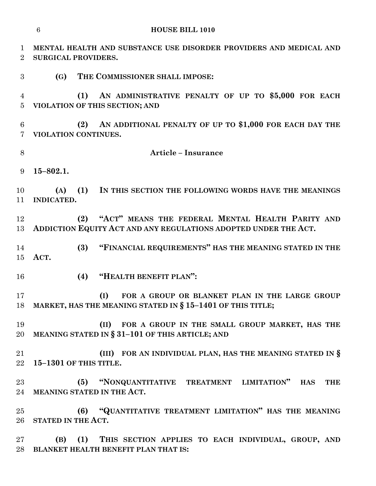|                                   | $6\phantom{1}6$<br><b>HOUSE BILL 1010</b>                                                                                  |
|-----------------------------------|----------------------------------------------------------------------------------------------------------------------------|
| $\mathbf 1$<br>$\overline{2}$     | MENTAL HEALTH AND SUBSTANCE USE DISORDER PROVIDERS AND MEDICAL AND<br><b>SURGICAL PROVIDERS.</b>                           |
| 3                                 | THE COMMISSIONER SHALL IMPOSE:<br><b>(G)</b>                                                                               |
| 4<br>$\overline{5}$               | AN ADMINISTRATIVE PENALTY OF UP TO \$5,000 FOR EACH<br>(1)<br>VIOLATION OF THIS SECTION; AND                               |
| $6\phantom{.}6$<br>$\overline{7}$ | AN ADDITIONAL PENALTY OF UP TO \$1,000 FOR EACH DAY THE<br>(2)<br>VIOLATION CONTINUES.                                     |
| 8                                 | <b>Article - Insurance</b>                                                                                                 |
| 9                                 | $15 - 802.1.$                                                                                                              |
| 10<br>11                          | (1) IN THIS SECTION THE FOLLOWING WORDS HAVE THE MEANINGS<br>(A)<br><b>INDICATED.</b>                                      |
| 12<br>13                          | "ACT" MEANS THE FEDERAL MENTAL HEALTH PARITY AND<br>(2)<br>ADDICTION EQUITY ACT AND ANY REGULATIONS ADOPTED UNDER THE ACT. |
| 14<br>15                          | "FINANCIAL REQUIREMENTS" HAS THE MEANING STATED IN THE<br>(3)<br>ACT.                                                      |
| 16                                | (4)<br>"HEALTH BENEFIT PLAN":                                                                                              |
| 17                                | FOR A GROUP OR BLANKET PLAN IN THE LARGE GROUP<br>(I)<br>18 MARKET, HAS THE MEANING STATED IN § 15-1401 OF THIS TITLE;     |
| 19<br>20                          | (II) FOR A GROUP IN THE SMALL GROUP MARKET, HAS THE<br>MEANING STATED IN $\S 31-101$ OF THIS ARTICLE; AND                  |
| 21<br>22                          | (III) FOR AN INDIVIDUAL PLAN, HAS THE MEANING STATED IN $\S$<br>15-1301 OF THIS TITLE.                                     |
| 23<br>24                          | "NONQUANTITATIVE TREATMENT LIMITATION" HAS<br>(5)<br>THE<br>MEANING STATED IN THE ACT.                                     |
| 25<br>26                          | (6) "QUANTITATIVE TREATMENT LIMITATION" HAS THE MEANING<br>STATED IN THE ACT.                                              |
| 27<br>28                          | (B) (1) THIS SECTION APPLIES TO EACH INDIVIDUAL, GROUP, AND<br>BLANKET HEALTH BENEFIT PLAN THAT IS:                        |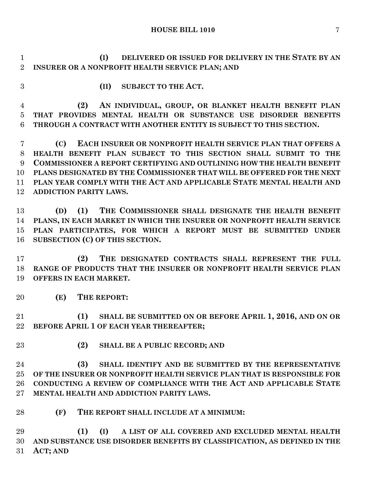**HOUSE BILL 1010** 7

 **(I) DELIVERED OR ISSUED FOR DELIVERY IN THE STATE BY AN INSURER OR A NONPROFIT HEALTH SERVICE PLAN; AND**

- 
- **(II) SUBJECT TO THE ACT.**

 **(2) AN INDIVIDUAL, GROUP, OR BLANKET HEALTH BENEFIT PLAN THAT PROVIDES MENTAL HEALTH OR SUBSTANCE USE DISORDER BENEFITS THROUGH A CONTRACT WITH ANOTHER ENTITY IS SUBJECT TO THIS SECTION.**

 **(C) EACH INSURER OR NONPROFIT HEALTH SERVICE PLAN THAT OFFERS A HEALTH BENEFIT PLAN SUBJECT TO THIS SECTION SHALL SUBMIT TO THE COMMISSIONER A REPORT CERTIFYING AND OUTLINING HOW THE HEALTH BENEFIT PLANS DESIGNATED BY THE COMMISSIONER THAT WILL BE OFFERED FOR THE NEXT PLAN YEAR COMPLY WITH THE ACT AND APPLICABLE STATE MENTAL HEALTH AND ADDICTION PARITY LAWS.**

 **(D) (1) THE COMMISSIONER SHALL DESIGNATE THE HEALTH BENEFIT PLANS, IN EACH MARKET IN WHICH THE INSURER OR NONPROFIT HEALTH SERVICE PLAN PARTICIPATES, FOR WHICH A REPORT MUST BE SUBMITTED UNDER SUBSECTION (C) OF THIS SECTION.**

 **(2) THE DESIGNATED CONTRACTS SHALL REPRESENT THE FULL RANGE OF PRODUCTS THAT THE INSURER OR NONPROFIT HEALTH SERVICE PLAN OFFERS IN EACH MARKET.**

**(E) THE REPORT:**

 **(1) SHALL BE SUBMITTED ON OR BEFORE APRIL 1, 2016, AND ON OR BEFORE APRIL 1 OF EACH YEAR THEREAFTER;**

**(2) SHALL BE A PUBLIC RECORD; AND**

 **(3) SHALL IDENTIFY AND BE SUBMITTED BY THE REPRESENTATIVE OF THE INSURER OR NONPROFIT HEALTH SERVICE PLAN THAT IS RESPONSIBLE FOR CONDUCTING A REVIEW OF COMPLIANCE WITH THE ACT AND APPLICABLE STATE MENTAL HEALTH AND ADDICTION PARITY LAWS.**

**(F) THE REPORT SHALL INCLUDE AT A MINIMUM:**

 **(1) (I) A LIST OF ALL COVERED AND EXCLUDED MENTAL HEALTH AND SUBSTANCE USE DISORDER BENEFITS BY CLASSIFICATION, AS DEFINED IN THE ACT; AND**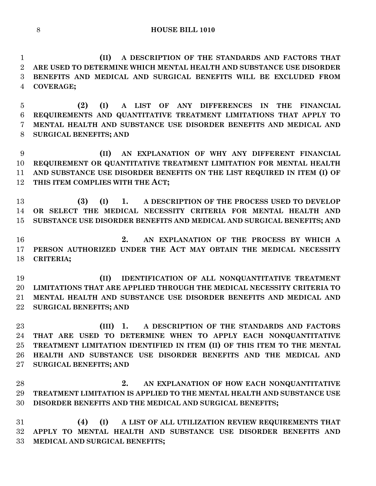**(II) A DESCRIPTION OF THE STANDARDS AND FACTORS THAT ARE USED TO DETERMINE WHICH MENTAL HEALTH AND SUBSTANCE USE DISORDER BENEFITS AND MEDICAL AND SURGICAL BENEFITS WILL BE EXCLUDED FROM COVERAGE;**

 **(2) (I) A LIST OF ANY DIFFERENCES IN THE FINANCIAL REQUIREMENTS AND QUANTITATIVE TREATMENT LIMITATIONS THAT APPLY TO MENTAL HEALTH AND SUBSTANCE USE DISORDER BENEFITS AND MEDICAL AND SURGICAL BENEFITS; AND**

 **(II) AN EXPLANATION OF WHY ANY DIFFERENT FINANCIAL REQUIREMENT OR QUANTITATIVE TREATMENT LIMITATION FOR MENTAL HEALTH AND SUBSTANCE USE DISORDER BENEFITS ON THE LIST REQUIRED IN ITEM (I) OF THIS ITEM COMPLIES WITH THE ACT;**

 **(3) (I) 1. A DESCRIPTION OF THE PROCESS USED TO DEVELOP OR SELECT THE MEDICAL NECESSITY CRITERIA FOR MENTAL HEALTH AND SUBSTANCE USE DISORDER BENEFITS AND MEDICAL AND SURGICAL BENEFITS; AND**

 **2. AN EXPLANATION OF THE PROCESS BY WHICH A PERSON AUTHORIZED UNDER THE ACT MAY OBTAIN THE MEDICAL NECESSITY CRITERIA;**

 **(II) IDENTIFICATION OF ALL NONQUANTITATIVE TREATMENT LIMITATIONS THAT ARE APPLIED THROUGH THE MEDICAL NECESSITY CRITERIA TO MENTAL HEALTH AND SUBSTANCE USE DISORDER BENEFITS AND MEDICAL AND SURGICAL BENEFITS; AND**

 **(III) 1. A DESCRIPTION OF THE STANDARDS AND FACTORS THAT ARE USED TO DETERMINE WHEN TO APPLY EACH NONQUANTITATIVE TREATMENT LIMITATION IDENTIFIED IN ITEM (II) OF THIS ITEM TO THE MENTAL HEALTH AND SUBSTANCE USE DISORDER BENEFITS AND THE MEDICAL AND SURGICAL BENEFITS; AND**

 **2. AN EXPLANATION OF HOW EACH NONQUANTITATIVE TREATMENT LIMITATION IS APPLIED TO THE MENTAL HEALTH AND SUBSTANCE USE DISORDER BENEFITS AND THE MEDICAL AND SURGICAL BENEFITS;**

 **(4) (I) A LIST OF ALL UTILIZATION REVIEW REQUIREMENTS THAT APPLY TO MENTAL HEALTH AND SUBSTANCE USE DISORDER BENEFITS AND MEDICAL AND SURGICAL BENEFITS;**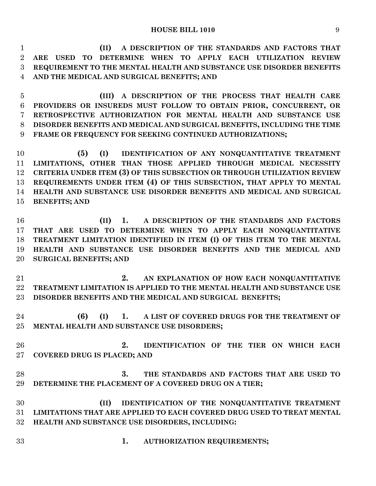**(II) A DESCRIPTION OF THE STANDARDS AND FACTORS THAT ARE USED TO DETERMINE WHEN TO APPLY EACH UTILIZATION REVIEW REQUIREMENT TO THE MENTAL HEALTH AND SUBSTANCE USE DISORDER BENEFITS AND THE MEDICAL AND SURGICAL BENEFITS; AND**

 **(III) A DESCRIPTION OF THE PROCESS THAT HEALTH CARE PROVIDERS OR INSUREDS MUST FOLLOW TO OBTAIN PRIOR, CONCURRENT, OR RETROSPECTIVE AUTHORIZATION FOR MENTAL HEALTH AND SUBSTANCE USE DISORDER BENEFITS AND MEDICAL AND SURGICAL BENEFITS, INCLUDING THE TIME FRAME OR FREQUENCY FOR SEEKING CONTINUED AUTHORIZATIONS;**

 **(5) (I) IDENTIFICATION OF ANY NONQUANTITATIVE TREATMENT LIMITATIONS, OTHER THAN THOSE APPLIED THROUGH MEDICAL NECESSITY CRITERIA UNDER ITEM (3) OF THIS SUBSECTION OR THROUGH UTILIZATION REVIEW REQUIREMENTS UNDER ITEM (4) OF THIS SUBSECTION, THAT APPLY TO MENTAL HEALTH AND SUBSTANCE USE DISORDER BENEFITS AND MEDICAL AND SURGICAL BENEFITS; AND**

 **(II) 1. A DESCRIPTION OF THE STANDARDS AND FACTORS THAT ARE USED TO DETERMINE WHEN TO APPLY EACH NONQUANTITATIVE TREATMENT LIMITATION IDENTIFIED IN ITEM (I) OF THIS ITEM TO THE MENTAL HEALTH AND SUBSTANCE USE DISORDER BENEFITS AND THE MEDICAL AND SURGICAL BENEFITS; AND**

 **2. AN EXPLANATION OF HOW EACH NONQUANTITATIVE TREATMENT LIMITATION IS APPLIED TO THE MENTAL HEALTH AND SUBSTANCE USE DISORDER BENEFITS AND THE MEDICAL AND SURGICAL BENEFITS;**

 **(6) (I) 1. A LIST OF COVERED DRUGS FOR THE TREATMENT OF MENTAL HEALTH AND SUBSTANCE USE DISORDERS;**

 **2. IDENTIFICATION OF THE TIER ON WHICH EACH COVERED DRUG IS PLACED; AND**

 **3. THE STANDARDS AND FACTORS THAT ARE USED TO DETERMINE THE PLACEMENT OF A COVERED DRUG ON A TIER;**

 **(II) IDENTIFICATION OF THE NONQUANTITATIVE TREATMENT LIMITATIONS THAT ARE APPLIED TO EACH COVERED DRUG USED TO TREAT MENTAL HEALTH AND SUBSTANCE USE DISORDERS, INCLUDING:**

**1. AUTHORIZATION REQUIREMENTS;**